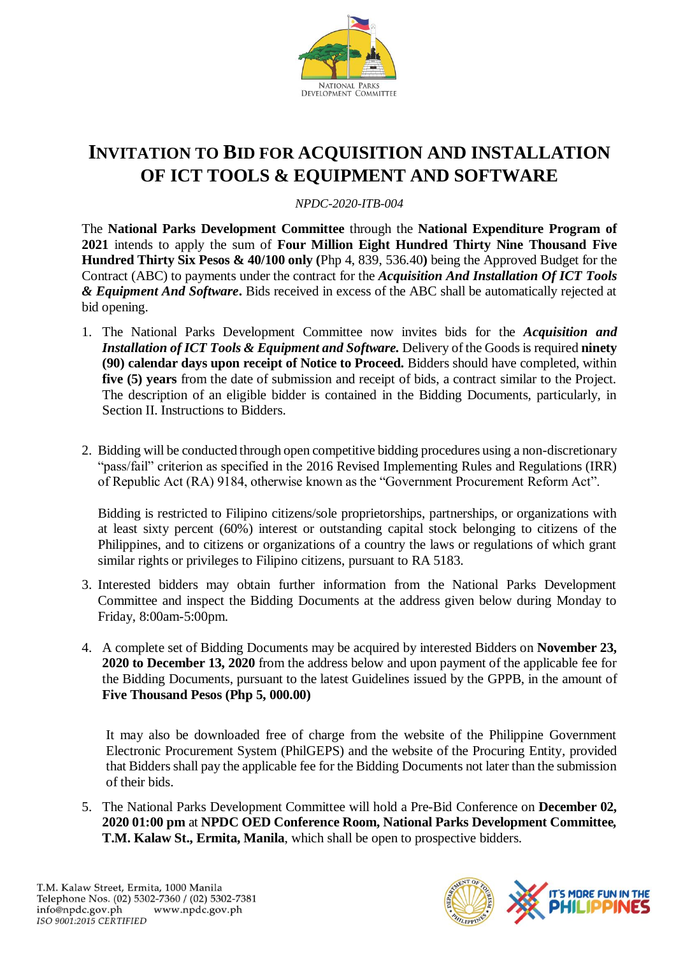

## **INVITATION TO BID FOR ACQUISITION AND INSTALLATION OF ICT TOOLS & EQUIPMENT AND SOFTWARE**

*NPDC-2020-ITB-004*

The **National Parks Development Committee** through the **National Expenditure Program of 2021** intends to apply the sum of **Four Million Eight Hundred Thirty Nine Thousand Five Hundred Thirty Six Pesos & 40/100 only (**Php 4, 839, 536.40**)** being the Approved Budget for the Contract (ABC) to payments under the contract for the *Acquisition And Installation Of ICT Tools & Equipment And Software***.** Bids received in excess of the ABC shall be automatically rejected at bid opening.

- 1. The National Parks Development Committee now invites bids for the *Acquisition and Installation of ICT Tools & Equipment and Software.* Delivery of the Goods is required **ninety (90) calendar days upon receipt of Notice to Proceed.** Bidders should have completed, within **five (5) years** from the date of submission and receipt of bids, a contract similar to the Project. The description of an eligible bidder is contained in the Bidding Documents, particularly, in Section II. Instructions to Bidders.
- 2. Bidding will be conducted through open competitive bidding procedures using a non-discretionary "pass/fail" criterion as specified in the 2016 Revised Implementing Rules and Regulations (IRR) of Republic Act (RA) 9184, otherwise known as the "Government Procurement Reform Act".

Bidding is restricted to Filipino citizens/sole proprietorships, partnerships, or organizations with at least sixty percent (60%) interest or outstanding capital stock belonging to citizens of the Philippines, and to citizens or organizations of a country the laws or regulations of which grant similar rights or privileges to Filipino citizens, pursuant to RA 5183.

- 3. Interested bidders may obtain further information from the National Parks Development Committee and inspect the Bidding Documents at the address given below during Monday to Friday, 8:00am-5:00pm.
- 4. A complete set of Bidding Documents may be acquired by interested Bidders on **November 23, 2020 to December 13, 2020** from the address below and upon payment of the applicable fee for the Bidding Documents, pursuant to the latest Guidelines issued by the GPPB, in the amount of **Five Thousand Pesos (Php 5, 000.00)**

It may also be downloaded free of charge from the website of the Philippine Government Electronic Procurement System (PhilGEPS) and the website of the Procuring Entity*,* provided that Bidders shall pay the applicable fee for the Bidding Documents not later than the submission of their bids.

5. The National Parks Development Committee will hold a Pre-Bid Conference on **December 02, 2020 01:00 pm** at **NPDC OED Conference Room, National Parks Development Committee***,*  **T.M. Kalaw St., Ermita, Manila**, which shall be open to prospective bidders.